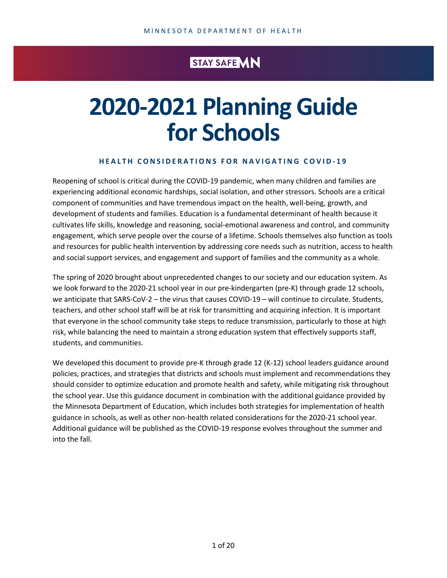### STAY SAFE **MN**

# **2020-2021 Planning Guide for Schools**

#### **HEALTH CONSIDERATIONS FOR NAVIGATING COVID-19**

Reopening of school is critical during the COVID-19 pandemic, when many children and families are experiencing additional economic hardships, social isolation, and other stressors. Schools are a critical component of communities and have tremendous impact on the health, well-being, growth, and development of students and families. Education is a fundamental determinant of health because it cultivates life skills, knowledge and reasoning, social-emotional awareness and control, and community engagement, which serve people over the course of a lifetime. Schools themselves also function as tools and resources for public health intervention by addressing core needs such as nutrition, access to health and social support services, and engagement and support of families and the community as a whole.

The spring of 2020 brought about unprecedented changes to our society and our education system. As we look forward to the 2020-21 school year in our pre-kindergarten (pre-K) through grade 12 schools, we anticipate that SARS-CoV-2 – the virus that causes COVID-19 – will continue to circulate. Students, teachers, and other school staff will be at risk for transmitting and acquiring infection. It is important that everyone in the school community take steps to reduce transmission, particularly to those at high risk, while balancing the need to maintain a strong education system that effectively supports staff, students, and communities.

We developed this document to provide pre-K through grade 12 (K-12) school leaders guidance around policies, practices, and strategies that districts and schools must implement and recommendations they should consider to optimize education and promote health and safety, while mitigating risk throughout the school year. Use this guidance document in combination with the additional guidance provided by the Minnesota Department of Education, which includes both strategies for implementation of health guidance in schools, as well as other non-health related considerations for the 2020-21 school year. Additional guidance will be published as the COVID-19 response evolves throughout the summer and into the fall.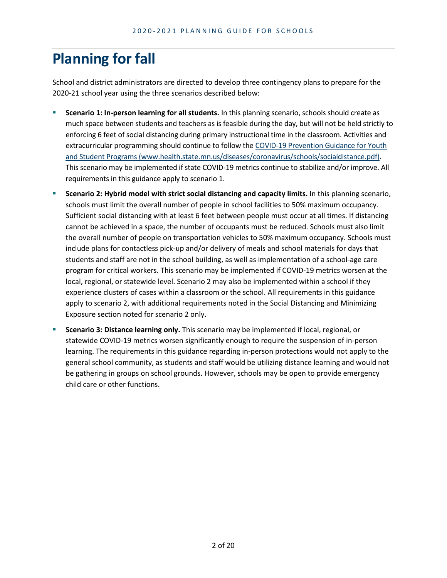# **Planning for fall**

School and district administrators are directed to develop three contingency plans to prepare for the 2020-21 school year using the three scenarios described below:

- **Scenario 1: In-person learning for all students.** In this planning scenario, schools should create as much space between students and teachers as is feasible during the day, but will not be held strictly to enforcing 6 feet of social distancing during primary instructional time in the classroom. Activities and extracurricular programming should continue to follow the [COVID-19 Prevention Guidance for Youth](https://www.health.state.mn.us/diseases/coronavirus/schools/socialdistance.pdf)  [and Student Programs \(www.health.state.mn.us/diseases/coronavirus/schools/socialdistance.pdf\).](https://www.health.state.mn.us/diseases/coronavirus/schools/socialdistance.pdf) This scenario may be implemented if state COVID-19 metrics continue to stabilize and/or improve. All requirements in this guidance apply to scenario 1.
- **Scenario 2: Hybrid model with strict social distancing and capacity limits.** In this planning scenario, schools must limit the overall number of people in school facilities to 50% maximum occupancy. Sufficient social distancing with at least 6 feet between people must occur at all times. If distancing cannot be achieved in a space, the number of occupants must be reduced. Schools must also limit the overall number of people on transportation vehicles to 50% maximum occupancy. Schools must include plans for contactless pick-up and/or delivery of meals and school materials for days that students and staff are not in the school building, as well as implementation of a school-age care program for critical workers. This scenario may be implemented if COVID-19 metrics worsen at the local, regional, or statewide level. Scenario 2 may also be implemented within a school if they experience clusters of cases within a classroom or the school. All requirements in this guidance apply to scenario 2, with additional requirements noted in the Social Distancing and Minimizing Exposure section noted for scenario 2 only.
- **Scenario 3: Distance learning only.** This scenario may be implemented if local, regional, or statewide COVID-19 metrics worsen significantly enough to require the suspension of in-person learning. The requirements in this guidance regarding in-person protections would not apply to the general school community, as students and staff would be utilizing distance learning and would not be gathering in groups on school grounds. However, schools may be open to provide emergency child care or other functions.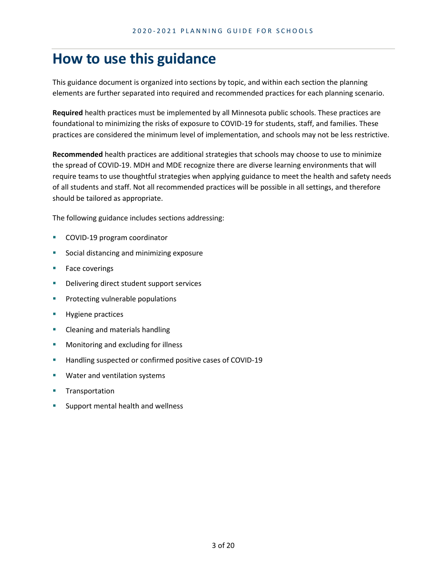### **How to use this guidance**

This guidance document is organized into sections by topic, and within each section the planning elements are further separated into required and recommended practices for each planning scenario.

**Required** health practices must be implemented by all Minnesota public schools. These practices are foundational to minimizing the risks of exposure to COVID-19 for students, staff, and families. These practices are considered the minimum level of implementation, and schools may not be less restrictive.

**Recommended** health practices are additional strategies that schools may choose to use to minimize the spread of COVID-19. MDH and MDE recognize there are diverse learning environments that will require teams to use thoughtful strategies when applying guidance to meet the health and safety needs of all students and staff. Not all recommended practices will be possible in all settings, and therefore should be tailored as appropriate.

The following guidance includes sections addressing:

- **COVID-19 program coordinator**
- **Social distancing and minimizing exposure**
- **Face coverings**
- **•** Delivering direct student support services
- **Protecting vulnerable populations**
- Hygiene practices
- Cleaning and materials handling
- **Monitoring and excluding for illness**
- **Handling suspected or confirmed positive cases of COVID-19**
- **Water and ventilation systems**
- **Transportation**
- Support mental health and wellness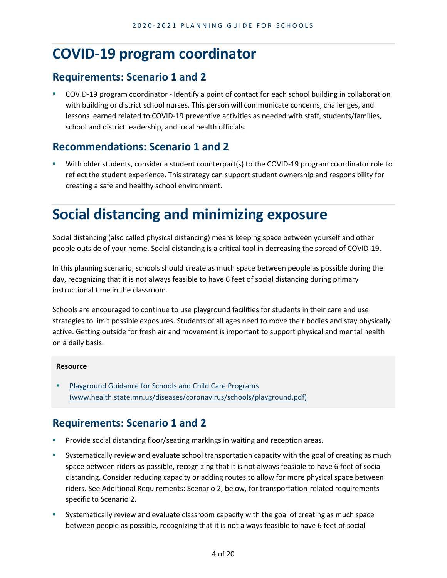### **COVID-19 program coordinator**

#### **Requirements: Scenario 1 and 2**

 COVID-19 program coordinator - Identify a point of contact for each school building in collaboration with building or district school nurses. This person will communicate concerns, challenges, and lessons learned related to COVID-19 preventive activities as needed with staff, students/families, school and district leadership, and local health officials.

#### **Recommendations: Scenario 1 and 2**

 With older students, consider a student counterpart(s) to the COVID-19 program coordinator role to reflect the student experience. This strategy can support student ownership and responsibility for creating a safe and healthy school environment.

# **Social distancing and minimizing exposure**

Social distancing (also called physical distancing) means keeping space between yourself and other people outside of your home. Social distancing is a critical tool in decreasing the spread of COVID-19.

In this planning scenario, schools should create as much space between people as possible during the day, recognizing that it is not always feasible to have 6 feet of social distancing during primary instructional time in the classroom.

Schools are encouraged to continue to use playground facilities for students in their care and use strategies to limit possible exposures. Students of all ages need to move their bodies and stay physically active. Getting outside for fresh air and movement is important to support physical and mental health on a daily basis.

#### **Resource**

**Playground Guidance for Schools and Child Care Programs** [\(www.health.state.mn.us/diseases/coronavirus/schools/playground.pdf\)](https://www.health.state.mn.us/diseases/coronavirus/schools/playground.pdf)

- Provide social distancing floor/seating markings in waiting and reception areas.
- **Systematically review and evaluate school transportation capacity with the goal of creating as much** space between riders as possible, recognizing that it is not always feasible to have 6 feet of social distancing. Consider reducing capacity or adding routes to allow for more physical space between riders. See Additional Requirements: Scenario 2, below, for transportation-related requirements specific to Scenario 2.
- Systematically review and evaluate classroom capacity with the goal of creating as much space between people as possible, recognizing that it is not always feasible to have 6 feet of social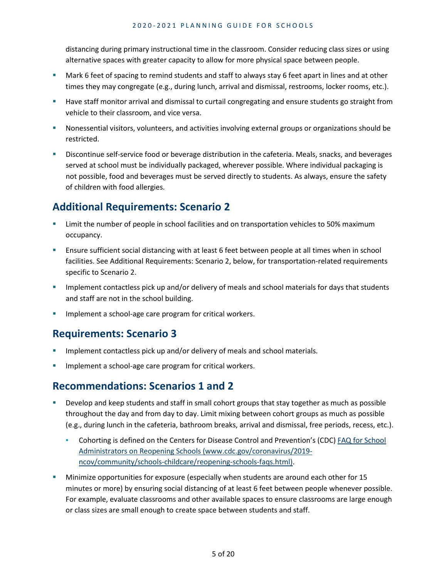distancing during primary instructional time in the classroom. Consider reducing class sizes or using alternative spaces with greater capacity to allow for more physical space between people.

- Mark 6 feet of spacing to remind students and staff to always stay 6 feet apart in lines and at other times they may congregate (e.g., during lunch, arrival and dismissal, restrooms, locker rooms, etc.).
- **Have staff monitor arrival and dismissal to curtail congregating and ensure students go straight from** vehicle to their classroom, and vice versa.
- Nonessential visitors, volunteers, and activities involving external groups or organizations should be restricted.
- **Discontinue self-service food or beverage distribution in the cafeteria. Meals, snacks, and beverages in the verages** served at school must be individually packaged, wherever possible. Where individual packaging is not possible, food and beverages must be served directly to students. As always, ensure the safety of children with food allergies.

### **Additional Requirements: Scenario 2**

- **EXECT** Limit the number of people in school facilities and on transportation vehicles to 50% maximum occupancy.
- Ensure sufficient social distancing with at least 6 feet between people at all times when in school facilities. See Additional Requirements: Scenario 2, below, for transportation-related requirements specific to Scenario 2.
- **Implement contactless pick up and/or delivery of meals and school materials for days that students** and staff are not in the school building.
- Implement a school-age care program for critical workers.

#### **Requirements: Scenario 3**

- Implement contactless pick up and/or delivery of meals and school materials.
- Implement a school-age care program for critical workers.

#### **Recommendations: Scenarios 1 and 2**

- **Develop and keep students and staff in small cohort groups that stay together as much as possible** throughout the day and from day to day. Limit mixing between cohort groups as much as possible (e.g., during lunch in the cafeteria, bathroom breaks, arrival and dismissal, free periods, recess, etc.).
	- Cohorting is defined on the Centers for Disease Control and Prevention's (CDC) FAQ for School [Administrators on Reopening Schools \(www.cdc.gov/coronavirus/2019](https://www.cdc.gov/coronavirus/2019-ncov/community/schools-childcare/reopening-schools-faqs.html) [ncov/community/schools-childcare/reopening-schools-faqs.html\).](https://www.cdc.gov/coronavirus/2019-ncov/community/schools-childcare/reopening-schools-faqs.html)
- Minimize opportunities for exposure (especially when students are around each other for 15 minutes or more) by ensuring social distancing of at least 6 feet between people whenever possible. For example, evaluate classrooms and other available spaces to ensure classrooms are large enough or class sizes are small enough to create space between students and staff.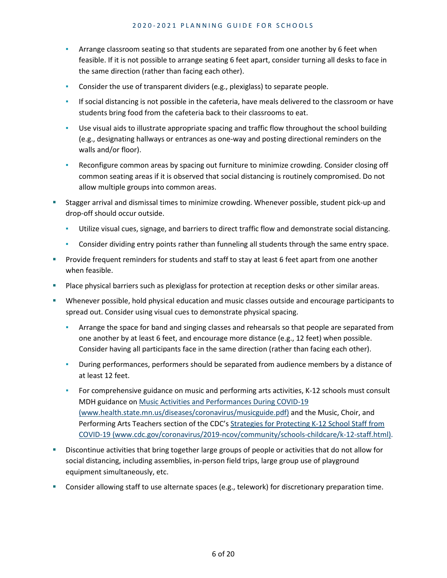- Arrange classroom seating so that students are separated from one another by 6 feet when feasible. If it is not possible to arrange seating 6 feet apart, consider turning all desks to face in the same direction (rather than facing each other).
- Consider the use of transparent dividers (e.g., plexiglass) to separate people.
- **•** If social distancing is not possible in the cafeteria, have meals delivered to the classroom or have students bring food from the cafeteria back to their classrooms to eat.
- Use visual aids to illustrate appropriate spacing and traffic flow throughout the school building (e.g., designating hallways or entrances as one-way and posting directional reminders on the walls and/or floor).
- **•** Reconfigure common areas by spacing out furniture to minimize crowding. Consider closing off common seating areas if it is observed that social distancing is routinely compromised. Do not allow multiple groups into common areas.
- Stagger arrival and dismissal times to minimize crowding. Whenever possible, student pick-up and drop-off should occur outside.
	- Utilize visual cues, signage, and barriers to direct traffic flow and demonstrate social distancing.
	- **•** Consider dividing entry points rather than funneling all students through the same entry space.
- **Provide frequent reminders for students and staff to stay at least 6 feet apart from one another** when feasible.
- **Place physical barriers such as plexiglass for protection at reception desks or other similar areas.**
- Whenever possible, hold physical education and music classes outside and encourage participants to spread out. Consider using visual cues to demonstrate physical spacing.
	- **EXED** Arrange the space for band and singing classes and rehearsals so that people are separated from one another by at least 6 feet, and encourage more distance (e.g., 12 feet) when possible. Consider having all participants face in the same direction (rather than facing each other).
	- During performances, performers should be separated from audience members by a distance of at least 12 feet.
	- **•** For comprehensive guidance on music and performing arts activities, K-12 schools must consult MDH guidance o[n Music Activities and Performances During COVID-19](https://www.health.state.mn.us/diseases/coronavirus/musicguide.pdf)  [\(www.health.state.mn.us/diseases/coronavirus/musicguide.pdf\)](https://www.health.state.mn.us/diseases/coronavirus/musicguide.pdf) and the Music, Choir, and Performing Arts Teachers section of the CDC's [Strategies for Protecting K-12 School Staff from](https://www.cdc.gov/coronavirus/2019-ncov/community/schools-childcare/k-12-staff.html)  [COVID-19 \(www.cdc.gov/coronavirus/2019-ncov/community/schools-childcare/k-12-staff.html\).](https://www.cdc.gov/coronavirus/2019-ncov/community/schools-childcare/k-12-staff.html)
- Discontinue activities that bring together large groups of people or activities that do not allow for social distancing, including assemblies, in-person field trips, large group use of playground equipment simultaneously, etc.
- Consider allowing staff to use alternate spaces (e.g., telework) for discretionary preparation time.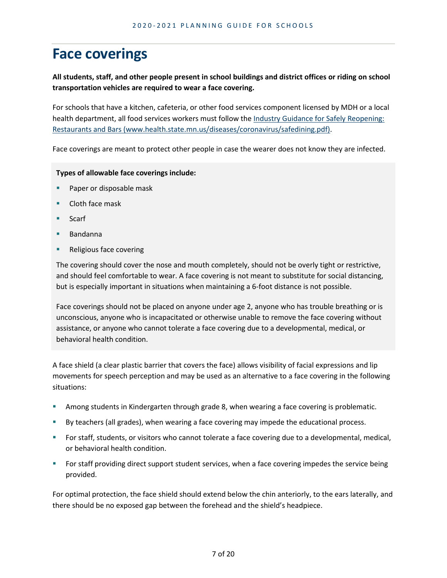# **Face coverings**

**All students, staff, and other people present in school buildings and district offices or riding on school transportation vehicles are required to wear a face covering.** 

For schools that have a kitchen, cafeteria, or other food services component licensed by MDH or a local health department, all food services workers must follow the Industry [Guidance for Safely Reopening:](https://www.health.state.mn.us/diseases/coronavirus/safedining.pdf)  [Restaurants and Bars \(www.health.state.mn.us/diseases/coronavirus/safedining.pdf\).](https://www.health.state.mn.us/diseases/coronavirus/safedining.pdf)

Face coverings are meant to protect other people in case the wearer does not know they are infected.

#### **Types of allowable face coverings include:**

- **Paper or disposable mask**
- **Cloth face mask**
- **Scarf**
- Bandanna
- **Religious face covering**

The covering should cover the nose and mouth completely, should not be overly tight or restrictive, and should feel comfortable to wear. A face covering is not meant to substitute for social distancing, but is especially important in situations when maintaining a 6-foot distance is not possible.

Face coverings should not be placed on anyone under age 2, anyone who has trouble breathing or is unconscious, anyone who is incapacitated or otherwise unable to remove the face covering without assistance, or anyone who cannot tolerate a face covering due to a developmental, medical, or behavioral health condition.

A face shield (a clear plastic barrier that covers the face) allows visibility of facial expressions and lip movements for speech perception and may be used as an alternative to a face covering in the following situations:

- Among students in Kindergarten through grade 8, when wearing a face covering is problematic.
- By teachers (all grades), when wearing a face covering may impede the educational process.
- For staff, students, or visitors who cannot tolerate a face covering due to a developmental, medical, or behavioral health condition.
- **For staff providing direct support student services, when a face covering impedes the service being** provided.

For optimal protection, the face shield should extend below the chin anteriorly, to the ears laterally, and there should be no exposed gap between the forehead and the shield's headpiece.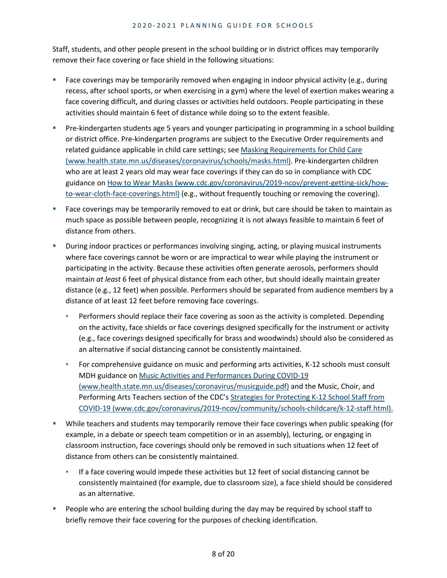Staff, students, and other people present in the school building or in district offices may temporarily remove their face covering or face shield in the following situations:

- Face coverings may be temporarily removed when engaging in indoor physical activity (e.g., during recess, after school sports, or when exercising in a gym) where the level of exertion makes wearing a face covering difficult, and during classes or activities held outdoors. People participating in these activities should maintain 6 feet of distance while doing so to the extent feasible.
- Pre-kindergarten students age 5 years and younger participating in programming in a school building or district office. Pre-kindergarten programs are subject to the Executive Order requirements and related guidance applicable in child care settings; see [Masking Requirements for Child Care](https://www.health.state.mn.us/diseases/coronavirus/schools/masks.html)  [\(www.health.state.mn.us/diseases/coronavirus/schools/masks.html\).](https://www.health.state.mn.us/diseases/coronavirus/schools/masks.html) Pre-kindergarten children who are at least 2 years old may wear face coverings if they can do so in compliance with CDC guidance on How to Wear [Masks \(www.cdc.gov/coronavirus/2019-ncov/prevent-getting-sick/how](http://www.cdc.gov/coronavirus/2019-ncov/prevent-getting-sick/how-to-wear-cloth-face-coverings.html)[to-wear-cloth-face-coverings.html\)](http://www.cdc.gov/coronavirus/2019-ncov/prevent-getting-sick/how-to-wear-cloth-face-coverings.html) (e.g., without frequently touching or removing the covering).
- **Face coverings may be temporarily removed to eat or drink, but care should be taken to maintain as** much space as possible between people, recognizing it is not always feasible to maintain 6 feet of distance from others.
- During indoor practices or performances involving singing, acting, or playing musical instruments where face coverings cannot be worn or are impractical to wear while playing the instrument or participating in the activity. Because these activities often generate aerosols, performers should maintain *at least* 6 feet of physical distance from each other, but should ideally maintain greater distance (e.g., 12 feet) when possible. Performers should be separated from audience members by a distance of at least 12 feet before removing face coverings.
	- **•** Performers should replace their face covering as soon as the activity is completed. Depending on the activity, face shields or face coverings designed specifically for the instrument or activity (e.g., face coverings designed specifically for brass and woodwinds) should also be considered as an alternative if social distancing cannot be consistently maintained.
	- **•** For comprehensive guidance on music and performing arts activities, K-12 schools must consult MDH guidance o[n Music Activities and Performances During COVID-19](https://www.health.state.mn.us/diseases/coronavirus/musicguide.pdf)  [\(www.health.state.mn.us/diseases/coronavirus/musicguide.pdf\)](https://www.health.state.mn.us/diseases/coronavirus/musicguide.pdf) and the Music, Choir, and Performing Arts Teachers section of the CDC's Strategies for Protecting K-12 School Staff from [COVID-19 \(www.cdc.gov/coronavirus/2019-ncov/community/schools-childcare/k-12-staff.html\).](https://www.cdc.gov/coronavirus/2019-ncov/community/schools-childcare/k-12-staff.html)
- While teachers and students may temporarily remove their face coverings when public speaking (for example, in a debate or speech team competition or in an assembly), lecturing, or engaging in classroom instruction, face coverings should only be removed in such situations when 12 feet of distance from others can be consistently maintained.
	- If a face covering would impede these activities but 12 feet of social distancing cannot be consistently maintained (for example, due to classroom size), a face shield should be considered as an alternative.
- People who are entering the school building during the day may be required by school staff to briefly remove their face covering for the purposes of checking identification.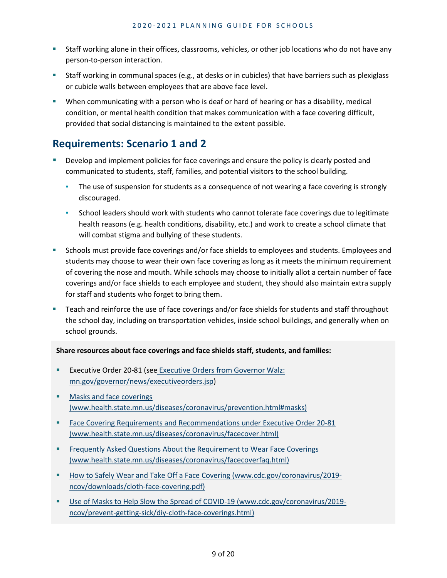- Staff working alone in their offices, classrooms, vehicles, or other job locations who do not have any person-to-person interaction.
- Staff working in communal spaces (e.g., at desks or in cubicles) that have barriers such as plexiglass or cubicle walls between employees that are above face level.
- When communicating with a person who is deaf or hard of hearing or has a disability, medical condition, or mental health condition that makes communication with a face covering difficult, provided that social distancing is maintained to the extent possible.

### **Requirements: Scenario 1 and 2**

- Develop and implement policies for face coverings and ensure the policy is clearly posted and communicated to students, staff, families, and potential visitors to the school building.
	- The use of suspension for students as a consequence of not wearing a face covering is strongly discouraged.
	- **EXECTS School leaders should work with students who cannot tolerate face coverings due to legitimate** health reasons (e.g. health conditions, disability, etc.) and work to create a school climate that will combat stigma and bullying of these students.
- Schools must provide face coverings and/or face shields to employees and students. Employees and students may choose to wear their own face covering as long as it meets the minimum requirement of covering the nose and mouth. While schools may choose to initially allot a certain number of face coverings and/or face shields to each employee and student, they should also maintain extra supply for staff and students who forget to bring them.
- Teach and reinforce the use of face coverings and/or face shields for students and staff throughout the school day, including on transportation vehicles, inside school buildings, and generally when on school grounds.

#### **Share resources about face coverings and face shields staff, students, and families:**

- **Executive Order 20-81 (see Executive Orders from Governor Walz:** [mn.gov/governor/news/executiveorders.jsp\)](https://mn.gov/governor/news/executiveorders.jsp)
- **Masks and face coverings** [\(www.health.state.mn.us/diseases/coronavirus/prevention.html#masks\)](https://www.health.state.mn.us/diseases/coronavirus/prevention.html#masks)
- **Face Covering Requirements and Recommendations under Executive Order 20-81** [\(www.health.state.mn.us/diseases/coronavirus/facecover.html\)](https://www.health.state.mn.us/diseases/coronavirus/facecover.html)
- **FIGURE 1** Frequently Asked Questions About the Requirement to Wear Face Coverings [\(www.health.state.mn.us/diseases/coronavirus/facecoverfaq.html\)](https://www.health.state.mn.us/diseases/coronavirus/facecoverfaq.html)
- **[How to Safely Wear and Take Off a Face Covering \(www.cdc.gov/coronavirus/2019](https://www.cdc.gov/coronavirus/2019-ncov/downloads/cloth-face-covering.pdf)** [ncov/downloads/cloth-face-covering.pdf\)](https://www.cdc.gov/coronavirus/2019-ncov/downloads/cloth-face-covering.pdf)
- [Use of Masks to Help Slow the Spread of COVID-19 \(www.cdc.gov/coronavirus/2019](http://www.cdc.gov/coronavirus/2019-ncov/prevent-getting-sick/diy-cloth-face-coverings.html) [ncov/prevent-getting-sick/diy-cloth-face-coverings.html\)](http://www.cdc.gov/coronavirus/2019-ncov/prevent-getting-sick/diy-cloth-face-coverings.html)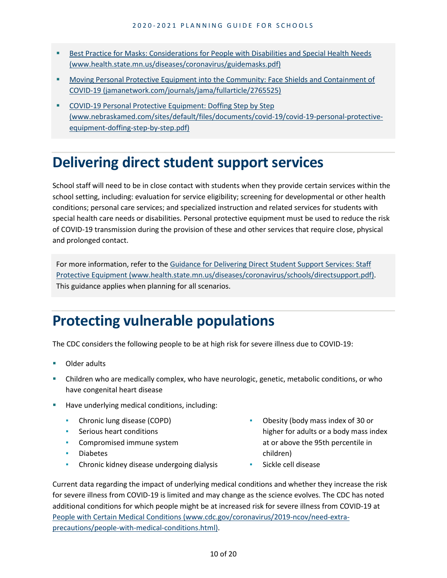- **Best Practice for Masks: Considerations for People with Disabilities and Special Health Needs** [\(www.health.state.mn.us/diseases/coronavirus/guidemasks.pdf\)](https://www.health.state.mn.us/diseases/coronavirus/guidemasks.pdf)
- **Moving Personal Protective Equipment into the Community: Face Shields and Containment of** [COVID-19 \(jamanetwork.com/journals/jama/fullarticle/2765525\)](https://jamanetwork.com/journals/jama/fullarticle/2765525)
- **COVID-19 Personal Protective Equipment: Doffing Step by Step** [\(www.nebraskamed.com/sites/default/files/documents/covid-19/covid-19-personal-protective](https://www.nebraskamed.com/sites/default/files/documents/covid-19/covid-19-personal-protective-equipment-doffing-step-by-step.pdf)[equipment-doffing-step-by-step.pdf\)](https://www.nebraskamed.com/sites/default/files/documents/covid-19/covid-19-personal-protective-equipment-doffing-step-by-step.pdf)

# **Delivering direct student support services**

School staff will need to be in close contact with students when they provide certain services within the school setting, including: evaluation for service eligibility; screening for developmental or other health conditions; personal care services; and specialized instruction and related services for students with special health care needs or disabilities. Personal protective equipment must be used to reduce the risk of COVID-19 transmission during the provision of these and other services that require close, physical and prolonged contact.

For more information, refer to the [Guidance for Delivering Direct Student Support Services: Staff](https://www.health.state.mn.us/diseases/coronavirus/schools/directsupport.pdf)  [Protective Equipment \(www.health.state.mn.us/diseases/coronavirus/schools/directsupport.pdf\).](https://www.health.state.mn.us/diseases/coronavirus/schools/directsupport.pdf) This guidance applies when planning for all scenarios.

# **Protecting vulnerable populations**

The CDC considers the following people to be at high risk for severe illness due to COVID-19:

- Older adults
- Children who are medically complex, who have neurologic, genetic, metabolic conditions, or who have congenital heart disease
- Have underlying medical conditions, including:
	- Chronic lung disease (COPD)
	- **EXECUTE:** Serious heart conditions
	- **•** Compromised immune system
	- Diabetes
	- **Chronic kidney disease undergoing dialysis**
- Obesity (body mass index of 30 or higher for adults or a body mass index at or above the 95th percentile in children)
- Sickle cell disease

Current data regarding the impact of underlying medical conditions and whether they increase the risk for severe illness from COVID-19 is limited and may change as the science evolves. The CDC has noted additional conditions for which people might be at increased risk for severe illness from COVID-19 at [People with Certain Medical Conditions \(www.cdc.gov/coronavirus/2019-ncov/need-extra](https://www.cdc.gov/coronavirus/2019-ncov/need-extra-precautions/people-with-medical-conditions.html)[precautions/people-with-medical-conditions.html\).](https://www.cdc.gov/coronavirus/2019-ncov/need-extra-precautions/people-with-medical-conditions.html)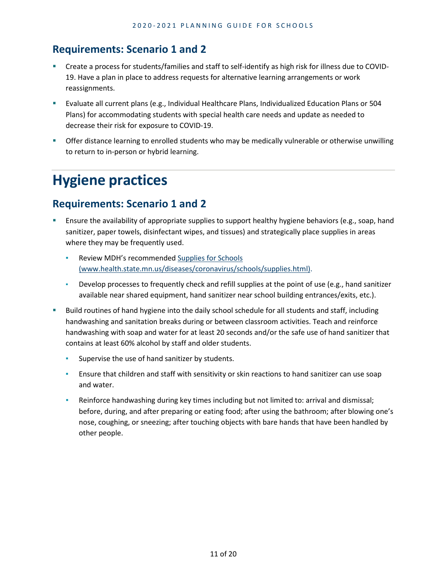### **Requirements: Scenario 1 and 2**

- Create a process for students/families and staff to self-identify as high risk for illness due to COVID-19. Have a plan in place to address requests for alternative learning arrangements or work reassignments.
- Evaluate all current plans (e.g., Individual Healthcare Plans, Individualized Education Plans or 504 Plans) for accommodating students with special health care needs and update as needed to decrease their risk for exposure to COVID-19.
- Offer distance learning to enrolled students who may be medically vulnerable or otherwise unwilling to return to in-person or hybrid learning.

# **Hygiene practices**

- Ensure the availability of appropriate supplies to support healthy hygiene behaviors (e.g., soap, hand sanitizer, paper towels, disinfectant wipes, and tissues) and strategically place supplies in areas where they may be frequently used.
	- Review MDH's recommended Supplies for Schools [\(www.health.state.mn.us/diseases/coronavirus/schools/supplies.html\).](https://www.health.state.mn.us/diseases/coronavirus/schools/supplies.html)
	- Develop processes to frequently check and refill supplies at the point of use (e.g., hand sanitizer available near shared equipment, hand sanitizer near school building entrances/exits, etc.).
- Build routines of hand hygiene into the daily school schedule for all students and staff, including handwashing and sanitation breaks during or between classroom activities. Teach and reinforce handwashing with soap and water for at least 20 seconds and/or the safe use of hand sanitizer that contains at least 60% alcohol by staff and older students.
	- **EXECUTE:** Supervise the use of hand sanitizer by students.
	- **E** Ensure that children and staff with sensitivity or skin reactions to hand sanitizer can use soap and water.
	- Reinforce handwashing during key times including but not limited to: arrival and dismissal; before, during, and after preparing or eating food; after using the bathroom; after blowing one's nose, coughing, or sneezing; after touching objects with bare hands that have been handled by other people.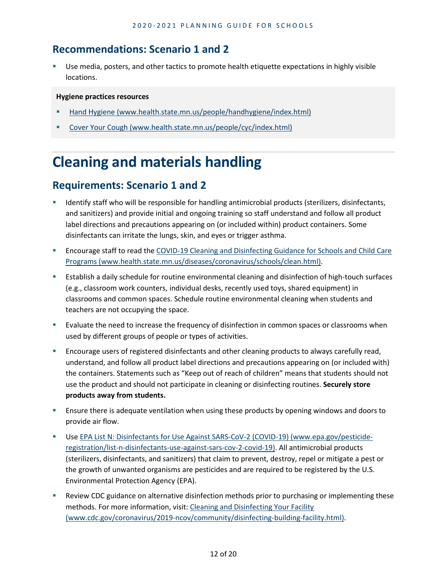#### **Recommendations: Scenario 1 and 2**

 Use media, posters, and other tactics to promote health etiquette expectations in highly visible locations.

#### **Hygiene practices resources**

- Hand Hygiene (www.health.state.mn.us/people/handhygiene/index.html)
- [Cover Your Cough \(www.health.state.mn.us/people/cyc/index.html\)](http://www.health.state.mn.us/people/cyc/index.html)

# **Cleaning and materials handling**

- Identify staff who will be responsible for handling antimicrobial products (sterilizers, disinfectants, and sanitizers) and provide initial and ongoing training so staff understand and follow all product label directions and precautions appearing on (or included within) product containers. Some disinfectants can irritate the lungs, skin, and eyes or trigger asthma.
- Encourage staff to read the [COVID-19 Cleaning and Disinfecting Guidance for Schools and Child Care](https://www.health.state.mn.us/diseases/coronavirus/schools/clean.html)  [Programs \(www.health.state.mn.us/diseases/coronavirus/schools/clean.html\).](https://www.health.state.mn.us/diseases/coronavirus/schools/clean.html)
- Establish a daily schedule for routine environmental cleaning and disinfection of high-touch surfaces (e.g., classroom work counters, individual desks, recently used toys, shared equipment) in classrooms and common spaces. Schedule routine environmental cleaning when students and teachers are not occupying the space.
- Evaluate the need to increase the frequency of disinfection in common spaces or classrooms when used by different groups of people or types of activities.
- **Encourage users of registered disinfectants and other cleaning products to always carefully read,** understand, and follow all product label directions and precautions appearing on (or included with) the containers. Statements such as "Keep out of reach of children" means that students should not use the product and should not participate in cleaning or disinfecting routines. **Securely store products away from students.**
- **E** Ensure there is adequate ventilation when using these products by opening windows and doors to provide air flow.
- Use [EPA List N: Disinfectants for Use Against SARS-CoV-2 \(COVID-19\) \(www.epa.gov/pesticide](https://www.epa.gov/pesticide-registration/list-n-disinfectants-use-against-sars-cov-2-covid-19)[registration/list-n-disinfectants-use-against-sars-cov-2-covid-19\).](https://www.epa.gov/pesticide-registration/list-n-disinfectants-use-against-sars-cov-2-covid-19) All antimicrobial products (sterilizers, disinfectants, and sanitizers) that claim to prevent, destroy, repel or mitigate a pest or the growth of unwanted organisms are pesticides and are required to be registered by the U.S. Environmental Protection Agency (EPA).
- Review CDC guidance on alternative disinfection methods prior to purchasing or implementing these methods. For more information, visit: [Cleaning and Disinfecting Your Facility](https://www.cdc.gov/coronavirus/2019-ncov/community/disinfecting-building-facility.html)  [\(www.cdc.gov/coronavirus/2019-ncov/community/disinfecting-building-facility.html\).](https://www.cdc.gov/coronavirus/2019-ncov/community/disinfecting-building-facility.html)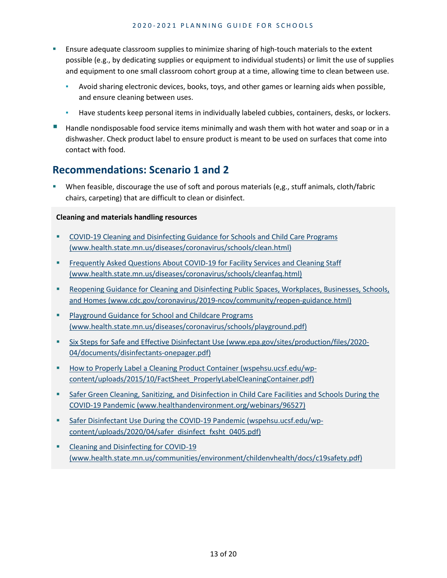- Ensure adequate classroom supplies to minimize sharing of high-touch materials to the extent possible (e.g., by dedicating supplies or equipment to individual students) or limit the use of supplies and equipment to one small classroom cohort group at a time, allowing time to clean between use.
	- Avoid sharing electronic devices, books, toys, and other games or learning aids when possible, and ensure cleaning between uses.
	- **EXED** Have students keep personal items in individually labeled cubbies, containers, desks, or lockers.
- Handle nondisposable food service items minimally and wash them with hot water and soap or in a dishwasher. Check product label to ensure product is meant to be used on surfaces that come into contact with food.

#### **Recommendations: Scenario 1 and 2**

 When feasible, discourage the use of soft and porous materials (e,g., stuff animals, cloth/fabric chairs, carpeting) that are difficult to clean or disinfect.

#### **Cleaning and materials handling resources**

- [COVID-19 Cleaning and Disinfecting Guidance for Schools and Child Care Programs](https://www.health.state.mn.us/diseases/coronavirus/schools/clean.html)  [\(www.health.state.mn.us/diseases/coronavirus/schools/clean.html\)](https://www.health.state.mn.us/diseases/coronavirus/schools/clean.html)
- [Frequently Asked Questions About COVID-19 for Facility Services and Cleaning Staff](https://www.health.state.mn.us/diseases/coronavirus/schools/cleanfaq.html)  [\(www.health.state.mn.us/diseases/coronavirus/schools/cleanfaq.html\)](https://www.health.state.mn.us/diseases/coronavirus/schools/cleanfaq.html)
- **Reopening Guidance for Cleaning and Disinfecting Public Spaces, Workplaces, Businesses, Schools,** [and Homes \(www.cdc.gov/coronavirus/2019-ncov/community/reopen-guidance.html\)](https://www.cdc.gov/coronavirus/2019-ncov/community/reopen-guidance.html)
- **Playground Guidance for School and Childcare Programs** [\(www.health.state.mn.us/diseases/coronavirus/schools/playground.pdf\)](https://www.health.state.mn.us/diseases/coronavirus/schools/playground.pdf)
- [Six Steps for Safe and Effective Disinfectant Use \(www.epa.gov/sites/production/files/2020-](https://www.epa.gov/sites/production/files/2020-04/documents/disinfectants-onepager.pdf) [04/documents/disinfectants-onepager.pdf\)](https://www.epa.gov/sites/production/files/2020-04/documents/disinfectants-onepager.pdf)
- **[How to Properly Label a Cleaning Product Container \(wspehsu.ucsf.edu/wp](https://wspehsu.ucsf.edu/wp-content/uploads/2015/10/FactSheet_ProperlyLabelCleaningContainer.pdf)**[content/uploads/2015/10/FactSheet\\_ProperlyLabelCleaningContainer.pdf\)](https://wspehsu.ucsf.edu/wp-content/uploads/2015/10/FactSheet_ProperlyLabelCleaningContainer.pdf)
- **Safer Green Cleaning, Sanitizing, and Disinfection in Child Care Facilities and Schools During the** [COVID-19 Pandemic \(www.healthandenvironment.org/webinars/96527\)](https://www.healthandenvironment.org/webinars/96527)
- [Safer Disinfectant Use During the COVID-19 Pandemic \(wspehsu.ucsf.edu/wp](http://wspehsu.ucsf.edu/wp-content/uploads/2020/04/safer_disinfect_fxsht_0405.pdf)[content/uploads/2020/04/safer\\_disinfect\\_fxsht\\_0405.pdf\)](http://wspehsu.ucsf.edu/wp-content/uploads/2020/04/safer_disinfect_fxsht_0405.pdf)
- [Cleaning and Disinfecting for COVID-19](https://www.health.state.mn.us/communities/environment/childenvhealth/docs/c19safety.pdf)  [\(www.health.state.mn.us/communities/environment/childenvhealth/docs/c19safety.pdf\)](https://www.health.state.mn.us/communities/environment/childenvhealth/docs/c19safety.pdf)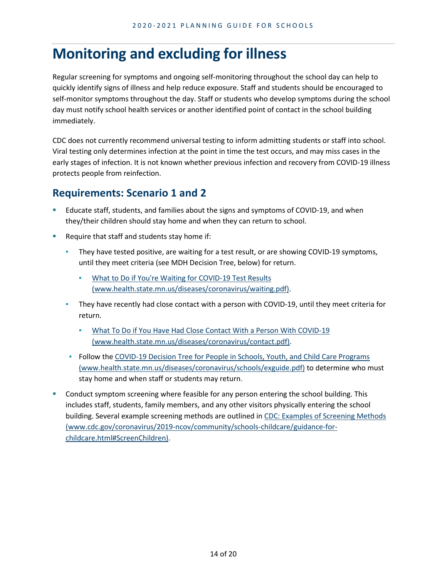### **Monitoring and excluding for illness**

Regular screening for symptoms and ongoing self-monitoring throughout the school day can help to quickly identify signs of illness and help reduce exposure. Staff and students should be encouraged to self-monitor symptoms throughout the day. Staff or students who develop symptoms during the school day must notify school health services or another identified point of contact in the school building immediately.

CDC does not currently recommend universal testing to inform admitting students or staff into school. Viral testing only determines infection at the point in time the test occurs, and may miss cases in the early stages of infection. It is not known whether previous infection and recovery from COVID-19 illness protects people from reinfection.

- Educate staff, students, and families about the signs and symptoms of COVID-19, and when they/their children should stay home and when they can return to school.
- Require that staff and students stay home if:
	- **•** They have tested positive, are waiting for a test result, or are showing COVID-19 symptoms, until they meet criteria (see MDH Decision Tree, below) for return.
		- [What to Do if You're Waiting for COVID-19 Test Results](https://www.health.state.mn.us/diseases/coronavirus/waiting.pdf)  [\(www.health.state.mn.us/diseases/coronavirus/waiting.pdf\).](https://www.health.state.mn.us/diseases/coronavirus/waiting.pdf)
	- **EXT** They have recently had close contact with a person with COVID-19, until they meet criteria for return.
		- [What To Do if You Have Had Close Contact With a Person With COVID-19](https://www.health.state.mn.us/diseases/coronavirus/contact.pdf)  [\(www.health.state.mn.us/diseases/coronavirus/contact.pdf\).](https://www.health.state.mn.us/diseases/coronavirus/contact.pdf)
	- **Follow the COVID-19 Decision Tree for People in Schools, Youth, and Child Care Programs** [\(www.health.state.mn.us/diseases/coronavirus/schools/exguide.pdf\)](https://www.health.state.mn.us/diseases/coronavirus/schools/exguide.pdf) to determine who must stay home and when staff or students may return.
- Conduct symptom screening where feasible for any person entering the school building. This includes staff, students, family members, and any other visitors physically entering the school building. Several example screening methods are outlined in [CDC: Examples of Screening Methods](https://www.cdc.gov/coronavirus/2019-ncov/community/schools-childcare/guidance-for-childcare.html#ScreenChildren)  [\(www.cdc.gov/coronavirus/2019-ncov/community/schools-childcare/guidance-for](https://www.cdc.gov/coronavirus/2019-ncov/community/schools-childcare/guidance-for-childcare.html#ScreenChildren)[childcare.html#ScreenChildren\).](https://www.cdc.gov/coronavirus/2019-ncov/community/schools-childcare/guidance-for-childcare.html#ScreenChildren)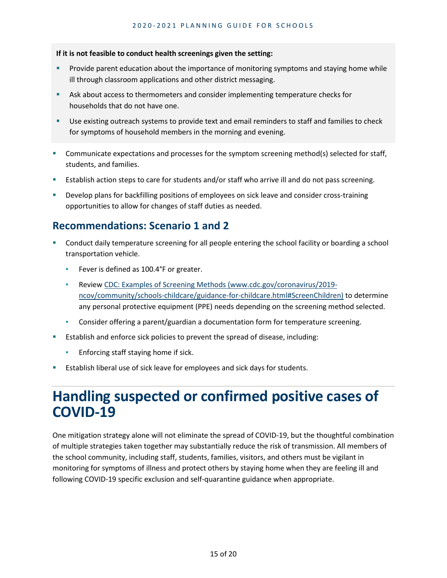#### **If it is not feasible to conduct health screenings given the setting:**

- **Provide parent education about the importance of monitoring symptoms and staying home while** ill through classroom applications and other district messaging.
- Ask about access to thermometers and consider implementing temperature checks for households that do not have one.
- Use existing outreach systems to provide text and email reminders to staff and families to check for symptoms of household members in the morning and evening.
- Communicate expectations and processes for the symptom screening method(s) selected for staff, students, and families.
- Establish action steps to care for students and/or staff who arrive ill and do not pass screening.
- Develop plans for backfilling positions of employees on sick leave and consider cross-training opportunities to allow for changes of staff duties as needed.

### **Recommendations: Scenario 1 and 2**

- Conduct daily temperature screening for all people entering the school facility or boarding a school transportation vehicle.
	- **EXECT:** Fever is defined as 100.4°F or greater.
	- Review [CDC: Examples of Screening Methods \(www.cdc.gov/coronavirus/2019](http://www.cdc.gov/coronavirus/2019-ncov/community/schools-childcare/guidance-for-childcare.html#ScreenChildren) [ncov/community/schools-childcare/guidance-for-childcare.html#ScreenChildren\)](http://www.cdc.gov/coronavirus/2019-ncov/community/schools-childcare/guidance-for-childcare.html#ScreenChildren) to determine any personal protective equipment (PPE) needs depending on the screening method selected.
	- Consider offering a parent/guardian a documentation form for temperature screening.
- **Establish and enforce sick policies to prevent the spread of disease, including:** 
	- Enforcing staff staying home if sick.
- Establish liberal use of sick leave for employees and sick days for students.

### **Handling suspected or confirmed positive cases of COVID-19**

One mitigation strategy alone will not eliminate the spread of COVID-19, but the thoughtful combination of multiple strategies taken together may substantially reduce the risk of transmission. All members of the school community, including staff, students, families, visitors, and others must be vigilant in monitoring for symptoms of illness and protect others by staying home when they are feeling ill and following COVID-19 specific exclusion and self-quarantine guidance when appropriate.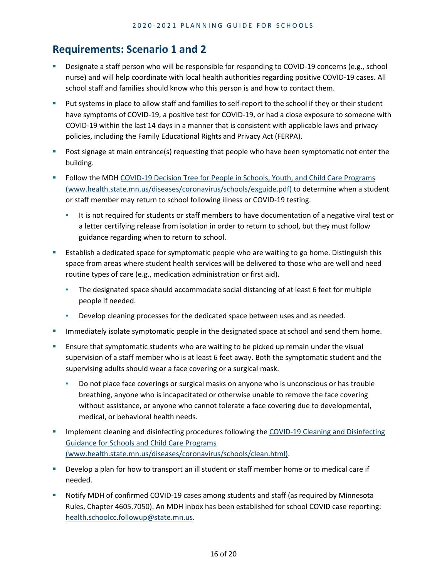- **Designate a staff person who will be responsible for responding to COVID-19 concerns (e.g., school** nurse) and will help coordinate with local health authorities regarding positive COVID-19 cases. All school staff and families should know who this person is and how to contact them.
- **Put systems in place to allow staff and families to self-report to the school if they or their student** have symptoms of COVID-19, a positive test for COVID-19, or had a close exposure to someone with COVID-19 within the last 14 days in a manner that is consistent with applicable laws and privacy policies, including the Family Educational Rights and Privacy Act (FERPA).
- **Post signage at main entrance(s) requesting that people who have been symptomatic not enter the** building.
- Follow the MDH COVID-19 Decision Tree for People in Schools, Youth, and Child Care Programs [\(www.health.state.mn.us/diseases/coronavirus/schools/exguide.pdf\)](https://www.health.state.mn.us/diseases/coronavirus/schools/exguide.pdf) to determine when a student or staff member may return to school following illness or COVID-19 testing.
	- **EXECT** It is not required for students or staff members to have documentation of a negative viral test or a letter certifying release from isolation in order to return to school, but they must follow guidance regarding when to return to school.
- Establish a dedicated space for symptomatic people who are waiting to go home. Distinguish this space from areas where student health services will be delivered to those who are well and need routine types of care (e.g., medication administration or first aid).
	- The designated space should accommodate social distancing of at least 6 feet for multiple people if needed.
	- Develop cleaning processes for the dedicated space between uses and as needed.
- Immediately isolate symptomatic people in the designated space at school and send them home.
- Ensure that symptomatic students who are waiting to be picked up remain under the visual supervision of a staff member who is at least 6 feet away. Both the symptomatic student and the supervising adults should wear a face covering or a surgical mask.
	- Do not place face coverings or surgical masks on anyone who is unconscious or has trouble breathing, anyone who is incapacitated or otherwise unable to remove the face covering without assistance, or anyone who cannot tolerate a face covering due to developmental, medical, or behavioral health needs.
- Implement cleaning and disinfecting procedures following the [COVID-19 Cleaning and Disinfecting](https://www.health.state.mn.us/diseases/coronavirus/schools/clean.html)  [Guidance for Schools and Child Care Programs](https://www.health.state.mn.us/diseases/coronavirus/schools/clean.html)  [\(www.health.state.mn.us/diseases/coronavirus/schools/clean.html\).](https://www.health.state.mn.us/diseases/coronavirus/schools/clean.html)
- Develop a plan for how to transport an ill student or staff member home or to medical care if needed.
- Notify MDH of confirmed COVID-19 cases among students and staff (as required by Minnesota Rules, Chapter 4605.7050). An MDH inbox has been established for school COVID case reporting: [health.schoolcc.followup@state.mn.us.](mailto:health.schoolcc.followup@state.mn.us)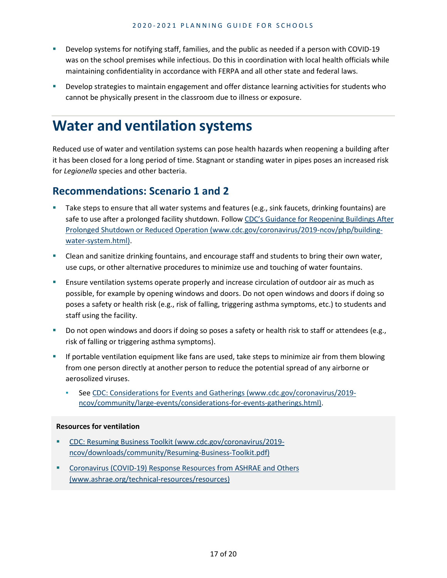- Develop systems for notifying staff, families, and the public as needed if a person with COVID-19 was on the school premises while infectious. Do this in coordination with local health officials while maintaining confidentiality in accordance with FERPA and all other state and federal laws.
- Develop strategies to maintain engagement and offer distance learning activities for students who cannot be physically present in the classroom due to illness or exposure.

# **Water and ventilation systems**

Reduced use of water and ventilation systems can pose health hazards when reopening a building after it has been closed for a long period of time. Stagnant or standing water in pipes poses an increased risk for *Legionella* species and other bacteria.

### **Recommendations: Scenario 1 and 2**

- Take steps to ensure that all water systems and features (e.g., sink faucets, drinking fountains) are safe to use after a prolonged facility shutdown. Follow [CDC's Guidance for Reopening Buildings After](https://www.cdc.gov/coronavirus/2019-ncov/php/building-water-system.html)  [Prolonged Shutdown or Reduced Operation \(www.cdc.gov/coronavirus/2019-ncov/php/building](https://www.cdc.gov/coronavirus/2019-ncov/php/building-water-system.html)[water-system.html\).](https://www.cdc.gov/coronavirus/2019-ncov/php/building-water-system.html)
- Clean and sanitize drinking fountains, and encourage staff and students to bring their own water, use cups, or other alternative procedures to minimize use and touching of water fountains.
- Ensure ventilation systems operate properly and increase circulation of outdoor air as much as possible, for example by opening windows and doors. Do not open windows and doors if doing so poses a safety or health risk (e.g., risk of falling, triggering asthma symptoms, etc.) to students and staff using the facility.
- Do not open windows and doors if doing so poses a safety or health risk to staff or attendees (e.g., risk of falling or triggering asthma symptoms).
- **If portable ventilation equipment like fans are used, take steps to minimize air from them blowing** from one person directly at another person to reduce the potential spread of any airborne or aerosolized viruses.
	- Se[e CDC: Considerations for Events and Gatherings \(www.cdc.gov/coronavirus/2019](https://www.cdc.gov/coronavirus/2019-ncov/community/large-events/considerations-for-events-gatherings.html) [ncov/community/large-events/considerations-for-events-gatherings.html\).](https://www.cdc.gov/coronavirus/2019-ncov/community/large-events/considerations-for-events-gatherings.html)

#### **Resources for ventilation**

- [CDC: Resuming Business Toolkit \(www.cdc.gov/coronavirus/2019](https://www.cdc.gov/coronavirus/2019-ncov/downloads/community/Resuming-Business-Toolkit.pdf) [ncov/downloads/community/Resuming-Business-Toolkit.pdf\)](https://www.cdc.gov/coronavirus/2019-ncov/downloads/community/Resuming-Business-Toolkit.pdf)
- **Coronavirus (COVID-19) Response Resources from ASHRAE and Others** [\(www.ashrae.org/technical-resources/resources\)](https://www.ashrae.org/technical-resources/resources)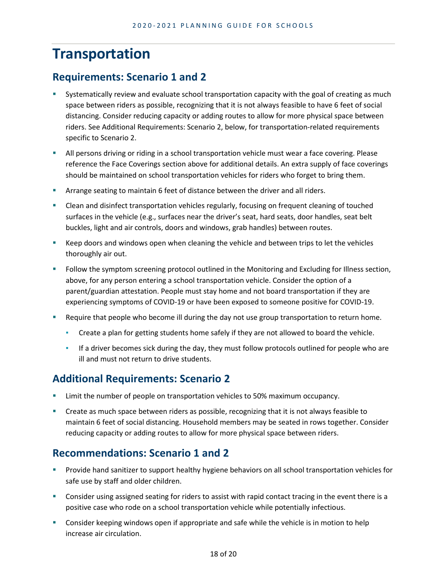# **Transportation**

### **Requirements: Scenario 1 and 2**

- Systematically review and evaluate school transportation capacity with the goal of creating as much space between riders as possible, recognizing that it is not always feasible to have 6 feet of social distancing. Consider reducing capacity or adding routes to allow for more physical space between riders. See Additional Requirements: Scenario 2, below, for transportation-related requirements specific to Scenario 2.
- **All persons driving or riding in a school transportation vehicle must wear a face covering. Please** reference the Face Coverings section above for additional details. An extra supply of face coverings should be maintained on school transportation vehicles for riders who forget to bring them.
- Arrange seating to maintain 6 feet of distance between the driver and all riders.
- Clean and disinfect transportation vehicles regularly, focusing on frequent cleaning of touched surfaces in the vehicle (e.g., surfaces near the driver's seat, hard seats, door handles, seat belt buckles, light and air controls, doors and windows, grab handles) between routes.
- Keep doors and windows open when cleaning the vehicle and between trips to let the vehicles thoroughly air out.
- **FILL** Follow the symptom screening protocol outlined in the Monitoring and Excluding for Illness section, above, for any person entering a school transportation vehicle. Consider the option of a parent/guardian attestation. People must stay home and not board transportation if they are experiencing symptoms of COVID-19 or have been exposed to someone positive for COVID-19.
- Require that people who become ill during the day not use group transportation to return home.
	- Create a plan for getting students home safely if they are not allowed to board the vehicle.
	- **.** If a driver becomes sick during the day, they must follow protocols outlined for people who are ill and must not return to drive students.

### **Additional Requirements: Scenario 2**

- Limit the number of people on transportation vehicles to 50% maximum occupancy.
- Create as much space between riders as possible, recognizing that it is not always feasible to maintain 6 feet of social distancing. Household members may be seated in rows together. Consider reducing capacity or adding routes to allow for more physical space between riders.

#### **Recommendations: Scenario 1 and 2**

- **Provide hand sanitizer to support healthy hygiene behaviors on all school transportation vehicles for** safe use by staff and older children.
- Consider using assigned seating for riders to assist with rapid contact tracing in the event there is a positive case who rode on a school transportation vehicle while potentially infectious.
- Consider keeping windows open if appropriate and safe while the vehicle is in motion to help increase air circulation.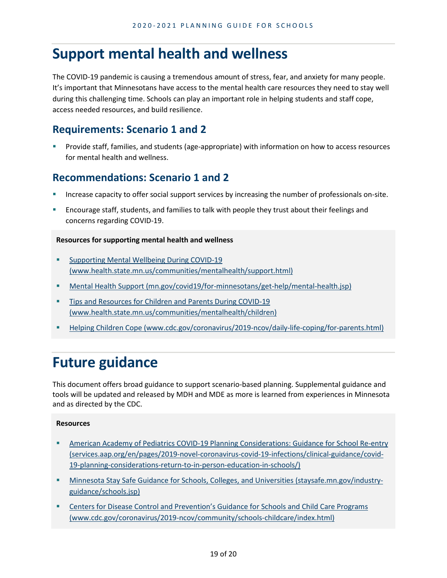### **Support mental health and wellness**

The COVID-19 pandemic is causing a tremendous amount of stress, fear, and anxiety for many people. It's important that Minnesotans have access to the mental health care resources they need to stay well during this challenging time. Schools can play an important role in helping students and staff cope, access needed resources, and build resilience.

#### **Requirements: Scenario 1 and 2**

 Provide staff, families, and students (age-appropriate) with information on how to access resources for mental health and wellness.

#### **Recommendations: Scenario 1 and 2**

- Increase capacity to offer social support services by increasing the number of professionals on-site.
- Encourage staff, students, and families to talk with people they trust about their feelings and concerns regarding COVID-19.

#### **Resources for supporting mental health and wellness**

- **Supporting Mental Wellbeing During COVID-19** [\(www.health.state.mn.us/communities/mentalhealth/support.html\)](https://www.health.state.mn.us/communities/mentalhealth/support.html)
- [Mental Health Support \(mn.gov/covid19/for-minnesotans/get-help/mental-health.jsp\)](https://mn.gov/covid19/for-minnesotans/get-help/mental-health.jsp)
- **Tips and Resources for Children and Parents During COVID-19** [\(www.health.state.mn.us/communities/mentalhealth/children\)](https://www.health.state.mn.us/communities/mentalhealth/children)
- [Helping Children Cope \(www.cdc.gov/coronavirus/2019-ncov/daily-life-coping/for-parents.html\)](https://www.cdc.gov/coronavirus/2019-ncov/daily-life-coping/for-parents.html)

# **Future guidance**

This document offers broad guidance to support scenario-based planning. Supplemental guidance and tools will be updated and released by MDH and MDE as more is learned from experiences in Minnesota and as directed by the CDC.

#### **Resources**

- **American Academy of Pediatrics COVID-19 Planning Considerations: Guidance for School Re-entry** [\(services.aap.org/en/pages/2019-novel-coronavirus-covid-19-infections/clinical-guidance/covid-](https://services.aap.org/en/pages/2019-novel-coronavirus-covid-19-infections/clinical-guidance/covid-19-planning-considerations-return-to-in-person-education-in-schools/)[19-planning-considerations-return-to-in-person-education-in-schools/\)](https://services.aap.org/en/pages/2019-novel-coronavirus-covid-19-infections/clinical-guidance/covid-19-planning-considerations-return-to-in-person-education-in-schools/)
- [Minnesota Stay Safe Guidance for Schools, Colleges, and Universities \(staysafe.mn.gov/industry](https://staysafe.mn.gov/industry-guidance/schools.jsp)[guidance/schools.jsp\)](https://staysafe.mn.gov/industry-guidance/schools.jsp)
- [Centers for Disease Control and Prevention's Guidance for Schools and Child Care Programs](http://www.cdc.gov/coronavirus/2019-ncov/community/schools-childcare/index.html)  [\(www.cdc.gov/coronavirus/2019-ncov/community/schools-childcare/index.html\)](http://www.cdc.gov/coronavirus/2019-ncov/community/schools-childcare/index.html)